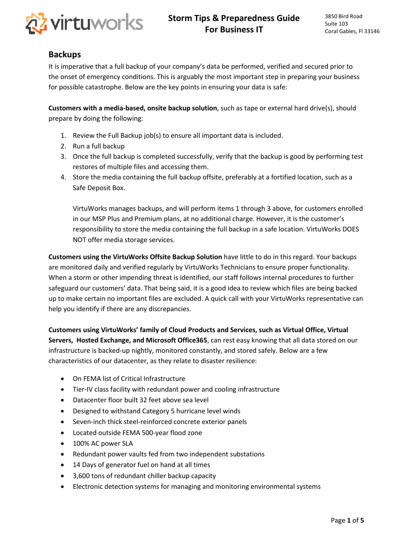

# **Backups**

It is imperative that a full backup of your company's data be performed, verified and secured prior to the onset of emergency conditions. This is arguably the most important step in preparing your business for possible catastrophe. Below are the key points in ensuring your data is safe:

**Customers with a media-based, onsite backup solution**, such as tape or external hard drive(s), should prepare by doing the following:

- 1. Review the Full Backup job(s) to ensure all important data is included.
- 2. Run a full backup
- 3. Once the full backup is completed successfully, verify that the backup is good by performing test restores of multiple files and accessing them.
- 4. Store the media containing the full backup offsite, preferably at a fortified location, such as a Safe Deposit Box.

VirtuWorks manages backups, and will perform items 1 through 3 above, for customers enrolled in our MSP Plus and Premium plans, at no additional charge. However, it is the customer's responsibility to store the media containing the full backup in a safe location. VirtuWorks DOES NOT offer media storage services.

**Customers using the VirtuWorks Offsite Backup Solution** have little to do in this regard. Your backups are monitored daily and verified regularly by VirtuWorks Technicians to ensure proper functionality. When a storm or other impending threat is identified, our staff follows internal procedures to further safeguard our customers' data. That being said, it is a good idea to review which files are being backed up to make certain no important files are excluded. A quick call with your VirtuWorks representative can help you identify if there are any discrepancies.

**Customers using VirtuWorks' family of Cloud Products and Services, such as Virtual Office, Virtual Servers, Hosted Exchange, and Microsoft Office365**, can rest easy knowing that all data stored on our infrastructure is backed-up nightly, monitored constantly, and stored safely. Below are a few characteristics of our datacenter, as they relate to disaster resilience:

- On FEMA list of Critical Infrastructure
- Tier-IV class facility with redundant power and cooling infrastructure
- Datacenter floor built 32 feet above sea level
- Designed to withstand Category 5 hurricane level winds
- Seven-inch thick steel-reinforced concrete exterior panels
- Located outside FEMA 500-year flood zone
- 100% AC power SLA
- Redundant power vaults fed from two independent substations
- 14 Days of generator fuel on hand at all times
- 3,600 tons of redundant chiller backup capacity
- Electronic detection systems for managing and monitoring environmental systems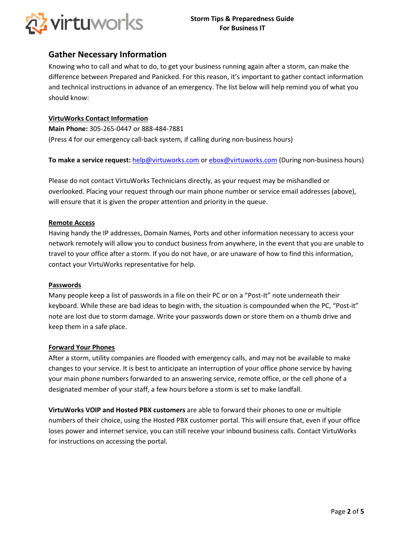

# **Gather Necessary Information**

Knowing who to call and what to do, to get your business running again after a storm, can make the difference between Prepared and Panicked. For this reason, it's important to gather contact information and technical instructions in advance of an emergency. The list below will help remind you of what you should know:

#### **VirtuWorks Contact Information**

**Main Phone:** 305-265-0447 or 888-484-7881 (Press 4 for our emergency call-back system, if calling during non-business hours)

**To make a service request:** help@virtuworks.com or ebox@virtuworks.com (During non-business hours)

Please do not contact VirtuWorks Technicians directly, as your request may be mishandled or overlooked. Placing your request through our main phone number or service email addresses (above), will ensure that it is given the proper attention and priority in the queue.

#### **Remote Access**

Having handy the IP addresses, Domain Names, Ports and other information necessary to access your network remotely will allow you to conduct business from anywhere, in the event that you are unable to travel to your office after a storm. If you do not have, or are unaware of how to find this information, contact your VirtuWorks representative for help.

#### **Passwords**

Many people keep a list of passwords in a file on their PC or on a "Post-It" note underneath their keyboard. While these are bad ideas to begin with, the situation is compounded when the PC, "Post-it" note are lost due to storm damage. Write your passwords down or store them on a thumb drive and keep them in a safe place.

#### **Forward Your Phones**

After a storm, utility companies are flooded with emergency calls, and may not be available to make changes to your service. It is best to anticipate an interruption of your office phone service by having your main phone numbers forwarded to an answering service, remote office, or the cell phone of a designated member of your staff, a few hours before a storm is set to make landfall.

**VirtuWorks VOIP and Hosted PBX customers** are able to forward their phones to one or multiple numbers of their choice, using the Hosted PBX customer portal. This will ensure that, even if your office loses power and internet service, you can still receive your inbound business calls. Contact VirtuWorks for instructions on accessing the portal.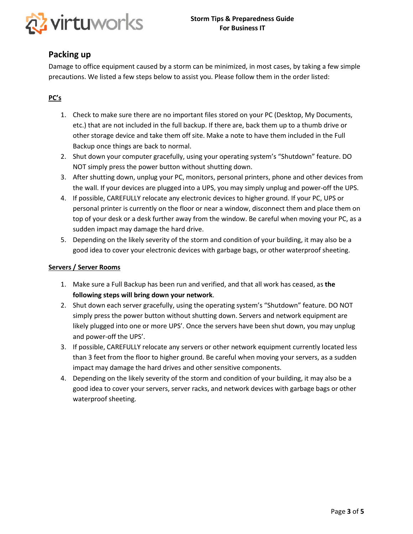

# **Packing up**

Damage to office equipment caused by a storm can be minimized, in most cases, by taking a few simple precautions. We listed a few steps below to assist you. Please follow them in the order listed:

## **PC's**

- 1. Check to make sure there are no important files stored on your PC (Desktop, My Documents, etc.) that are not included in the full backup. If there are, back them up to a thumb drive or other storage device and take them off site. Make a note to have them included in the Full Backup once things are back to normal.
- 2. Shut down your computer gracefully, using your operating system's "Shutdown" feature. DO NOT simply press the power button without shutting down.
- 3. After shutting down, unplug your PC, monitors, personal printers, phone and other devices from the wall. If your devices are plugged into a UPS, you may simply unplug and power-off the UPS.
- 4. If possible, CAREFULLY relocate any electronic devices to higher ground. If your PC, UPS or personal printer is currently on the floor or near a window, disconnect them and place them on top of your desk or a desk further away from the window. Be careful when moving your PC, as a sudden impact may damage the hard drive.
- 5. Depending on the likely severity of the storm and condition of your building, it may also be a good idea to cover your electronic devices with garbage bags, or other waterproof sheeting.

#### **Servers / Server Rooms**

- 1. Make sure a Full Backup has been run and verified, and that all work has ceased, as **the following steps will bring down your network**.
- 2. Shut down each server gracefully, using the operating system's "Shutdown" feature. DO NOT simply press the power button without shutting down. Servers and network equipment are likely plugged into one or more UPS'. Once the servers have been shut down, you may unplug and power-off the UPS'.
- 3. If possible, CAREFULLY relocate any servers or other network equipment currently located less than 3 feet from the floor to higher ground. Be careful when moving your servers, as a sudden impact may damage the hard drives and other sensitive components.
- 4. Depending on the likely severity of the storm and condition of your building, it may also be a good idea to cover your servers, server racks, and network devices with garbage bags or other waterproof sheeting.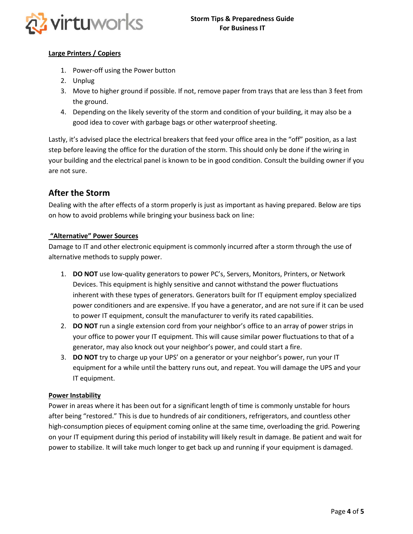

### **Large Printers / Copiers**

- 1. Power-off using the Power button
- 2. Unplug
- 3. Move to higher ground if possible. If not, remove paper from trays that are less than 3 feet from the ground.
- 4. Depending on the likely severity of the storm and condition of your building, it may also be a good idea to cover with garbage bags or other waterproof sheeting.

Lastly, it's advised place the electrical breakers that feed your office area in the "off" position, as a last step before leaving the office for the duration of the storm. This should only be done if the wiring in your building and the electrical panel is known to be in good condition. Consult the building owner if you are not sure.

# **After the Storm**

Dealing with the after effects of a storm properly is just as important as having prepared. Below are tips on how to avoid problems while bringing your business back on line:

### **"Alternative" Power Sources**

Damage to IT and other electronic equipment is commonly incurred after a storm through the use of alternative methods to supply power.

- 1. **DO NOT** use low-quality generators to power PC's, Servers, Monitors, Printers, or Network Devices. This equipment is highly sensitive and cannot withstand the power fluctuations inherent with these types of generators. Generators built for IT equipment employ specialized power conditioners and are expensive. If you have a generator, and are not sure if it can be used to power IT equipment, consult the manufacturer to verify its rated capabilities.
- 2. **DO NOT** run a single extension cord from your neighbor's office to an array of power strips in your office to power your IT equipment. This will cause similar power fluctuations to that of a generator, may also knock out your neighbor's power, and could start a fire.
- 3. **DO NOT** try to charge up your UPS' on a generator or your neighbor's power, run your IT equipment for a while until the battery runs out, and repeat. You will damage the UPS and your IT equipment.

#### **Power Instability**

Power in areas where it has been out for a significant length of time is commonly unstable for hours after being "restored." This is due to hundreds of air conditioners, refrigerators, and countless other high-consumption pieces of equipment coming online at the same time, overloading the grid. Powering on your IT equipment during this period of instability will likely result in damage. Be patient and wait for power to stabilize. It will take much longer to get back up and running if your equipment is damaged.